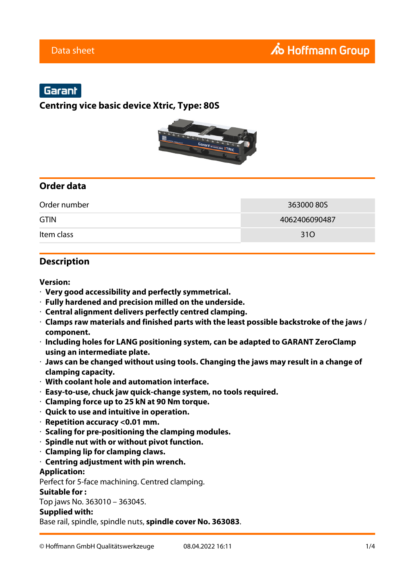## Garant

## **Centring vice basic device Xtric, Type: 80S**



## **Order data**

| Order number | 363000805     |
|--------------|---------------|
| <b>GTIN</b>  | 4062406090487 |
| Item class   | 31O           |

### **Description**

#### **Version:**

- · **Very good accessibility and perfectly symmetrical.**
- · **Fully hardened and precision milled on the underside.**
- · **Central alignment delivers perfectly centred clamping.**
- · **Clamps raw materials and finished parts with the least possible backstroke of the jaws / component.**
- · **Including holes for LANG positioning system, can be adapted to GARANT ZeroClamp using an intermediate plate.**
- · **Jaws can be changed without using tools. Changing the jaws may result in a change of clamping capacity.**
- · **With coolant hole and automation interface.**
- · **Easy-to-use, chuck jaw quick-change system, no tools required.**
- · **Clamping force up to 25 kN at 90 Nm torque.**
- · **Quick to use and intuitive in operation.**
- · **Repetition accuracy <0.01 mm.**
- · **Scaling for pre-positioning the clamping modules.**
- · **Spindle nut with or without pivot function.**
- · **Clamping lip for clamping claws.**

#### · **Centring adjustment with pin wrench.**

#### **Application:**

Perfect for 5-face machining. Centred clamping.

#### **Suitable for :**

Top jaws No. 363010 – 363045.

#### **Supplied with:**

Base rail, spindle, spindle nuts, **spindle cover No. 363083**.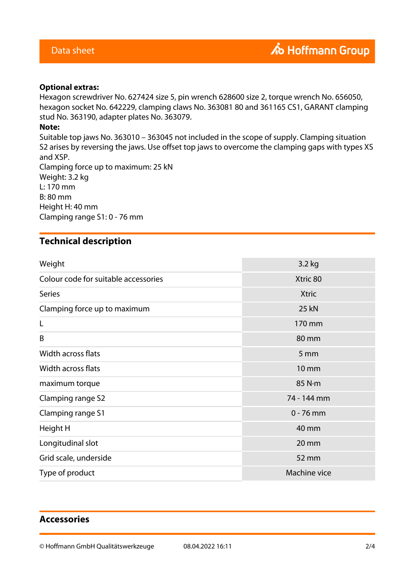# **TextFlow 12** *Optional extras***:**

Hexagon screwdriver No. 627424 size 5, pin wrench 628600 size 2, torque wrench No. 656050, hexagon socket No. 642229, clamping claws No. 363081 80 and 361165 CS1, GARANT clamping stud No. 363190, adapter plates No. 363079.

#### **Note:**

Suitable top jaws No. 363010 – 363045 not included in the scope of supply. Clamping situation S2 arises by reversing the jaws. Use offset top jaws to overcome the clamping gaps with types XS and XSP.

Clamping force up to maximum: 25 kN Weight: 3.2 kg L: 170 mm B: 80 mm Height H: 40 mm Clamping range S1: 0 - 76 mm

## **Technical description**

| Weight                               | 3.2 kg       |
|--------------------------------------|--------------|
| Colour code for suitable accessories | Xtric 80     |
| <b>Series</b>                        | <b>Xtric</b> |
| Clamping force up to maximum         | <b>25 kN</b> |
| L                                    | 170 mm       |
| B                                    | 80 mm        |
| Width across flats                   | 5 mm         |
| Width across flats                   | <b>10 mm</b> |
| maximum torque                       | 85 N·m       |
| Clamping range S2                    | 74 - 144 mm  |
| Clamping range S1                    | $0 - 76$ mm  |
| Height H                             | 40 mm        |
| Longitudinal slot                    | 20 mm        |
| Grid scale, underside                | 52 mm        |
| Type of product                      | Machine vice |

## **Accessories**

© Hoffmann GmbH Qualitätswerkzeuge 08.04.2022 16:11 2/4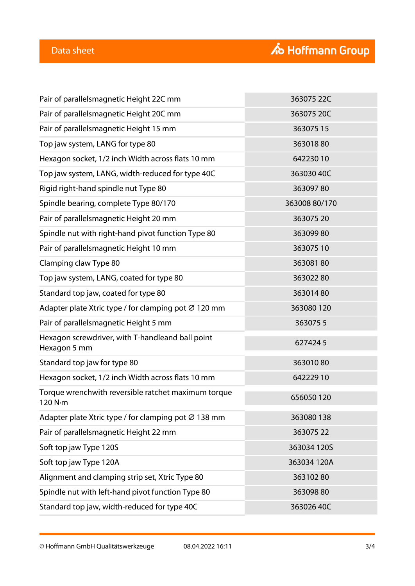| Pair of parallelsmagnetic Height 22C mm                          | 363075 22C    |
|------------------------------------------------------------------|---------------|
| Pair of parallelsmagnetic Height 20C mm                          | 363075 20C    |
| Pair of parallelsmagnetic Height 15 mm                           | 36307515      |
| Top jaw system, LANG for type 80                                 | 36301880      |
| Hexagon socket, 1/2 inch Width across flats 10 mm                | 64223010      |
| Top jaw system, LANG, width-reduced for type 40C                 | 363030 40C    |
| Rigid right-hand spindle nut Type 80                             | 36309780      |
| Spindle bearing, complete Type 80/170                            | 363008 80/170 |
| Pair of parallelsmagnetic Height 20 mm                           | 36307520      |
| Spindle nut with right-hand pivot function Type 80               | 36309980      |
| Pair of parallelsmagnetic Height 10 mm                           | 36307510      |
| Clamping claw Type 80                                            | 36308180      |
| Top jaw system, LANG, coated for type 80                         | 36302280      |
| Standard top jaw, coated for type 80                             | 36301480      |
| Adapter plate Xtric type / for clamping pot Ø 120 mm             | 363080 120    |
| Pair of parallelsmagnetic Height 5 mm                            | 3630755       |
| Hexagon screwdriver, with T-handleand ball point<br>Hexagon 5 mm | 6274245       |
| Standard top jaw for type 80                                     | 36301080      |
| Hexagon socket, 1/2 inch Width across flats 10 mm                | 642229 10     |
| Torque wrenchwith reversible ratchet maximum torque<br>120 N·m   | 656050120     |
| Adapter plate Xtric type / for clamping pot Ø 138 mm             | 363080138     |
| Pair of parallelsmagnetic Height 22 mm                           | 36307522      |
| Soft top jaw Type 120S                                           | 363034 120S   |
| Soft top jaw Type 120A                                           | 363034 120A   |
| Alignment and clamping strip set, Xtric Type 80                  | 36310280      |
| Spindle nut with left-hand pivot function Type 80                | 36309880      |
| Standard top jaw, width-reduced for type 40C                     | 363026 40C    |